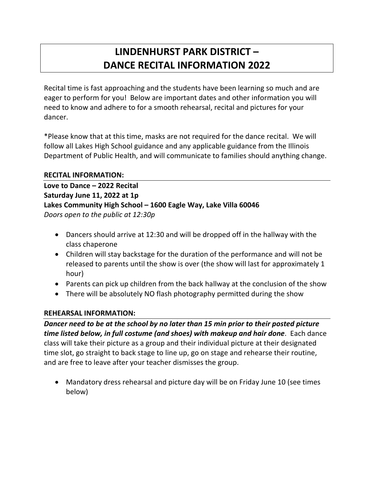# **LINDENHURST PARK DISTRICT – DANCE RECITAL INFORMATION 2022**

Recital time is fast approaching and the students have been learning so much and are eager to perform for you! Below are important dates and other information you will need to know and adhere to for a smooth rehearsal, recital and pictures for your dancer.

\*Please know that at this time, masks are not required for the dance recital. We will follow all Lakes High School guidance and any applicable guidance from the Illinois Department of Public Health, and will communicate to families should anything change.

#### **RECITAL INFORMATION:**

**Love to Dance – 2022 Recital Saturday June 11, 2022 at 1p Lakes Community High School – 1600 Eagle Way, Lake Villa 60046** *Doors open to the public at 12:30p*

- Dancers should arrive at 12:30 and will be dropped off in the hallway with the class chaperone
- Children will stay backstage for the duration of the performance and will not be released to parents until the show is over (the show will last for approximately 1 hour)
- Parents can pick up children from the back hallway at the conclusion of the show
- There will be absolutely NO flash photography permitted during the show

#### **REHEARSAL INFORMATION:**

*Dancer need to be at the school by no later than 15 min prior to their posted picture time listed below, in full costume (and shoes) with makeup and hair done*. Each dance class will take their picture as a group and their individual picture at their designated time slot, go straight to back stage to line up, go on stage and rehearse their routine, and are free to leave after your teacher dismisses the group.

• Mandatory dress rehearsal and picture day will be on Friday June 10 (see times below)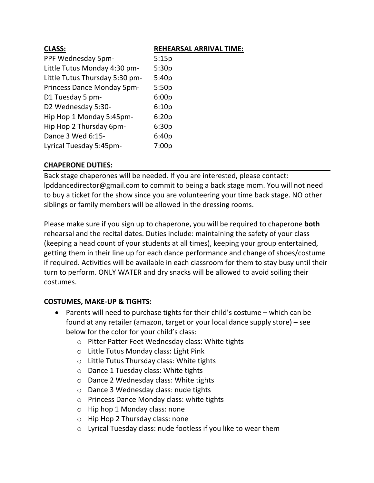| <b>CLASS:</b>                  | <b>REHEARSAL ARRIVAL TIME:</b> |
|--------------------------------|--------------------------------|
| PPF Wednesday 5pm-             | 5:15p                          |
| Little Tutus Monday 4:30 pm-   | 5:30p                          |
| Little Tutus Thursday 5:30 pm- | 5:40p                          |
| Princess Dance Monday 5pm-     | 5:50p                          |
| D1 Tuesday 5 pm-               | 6:00p                          |
| D2 Wednesday 5:30-             | 6:10p                          |
| Hip Hop 1 Monday 5:45pm-       | 6:20p                          |
| Hip Hop 2 Thursday 6pm-        | 6:30p                          |
| Dance 3 Wed 6:15-              | 6:40p                          |
| Lyrical Tuesday 5:45pm-        | 7:00p                          |

### **CHAPERONE DUTIES:**

Back stage chaperones will be needed. If you are interested, please contact: lpddancedirector@gmail.com to commit to being a back stage mom. You will not need to buy a ticket for the show since you are volunteering your time back stage. NO other siblings or family members will be allowed in the dressing rooms.

Please make sure if you sign up to chaperone, you will be required to chaperone **both** rehearsal and the recital dates. Duties include: maintaining the safety of your class (keeping a head count of your students at all times), keeping your group entertained, getting them in their line up for each dance performance and change of shoes/costume if required. Activities will be available in each classroom for them to stay busy until their turn to perform. ONLY WATER and dry snacks will be allowed to avoid soiling their costumes.

## **COSTUMES, MAKE-UP & TIGHTS:**

- Parents will need to purchase tights for their child's costume which can be found at any retailer (amazon, target or your local dance supply store) – see below for the color for your child's class:
	- o Pitter Patter Feet Wednesday class: White tights
	- o Little Tutus Monday class: Light Pink
	- o Little Tutus Thursday class: White tights
	- o Dance 1 Tuesday class: White tights
	- o Dance 2 Wednesday class: White tights
	- o Dance 3 Wednesday class: nude tights
	- o Princess Dance Monday class: white tights
	- o Hip hop 1 Monday class: none
	- o Hip Hop 2 Thursday class: none
	- o Lyrical Tuesday class: nude footless if you like to wear them